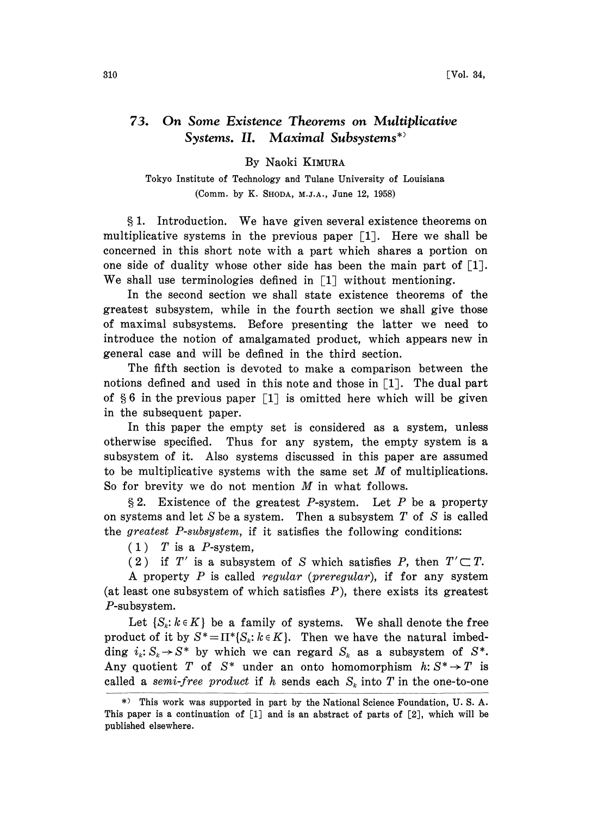## 73. On Some Existence Theorems on Multiplicative Systems. II. Maximal Subsystems\*>

## By Naoki KIMUR

Tokyo Institute of Technology and Tulane University of Louisiana (Comm. by K. SHODA, M.J.A., June 12, 1958)

1. Introduction. We have given several existence theorems on multiplicative systems in the previous paper  $\lceil 1 \rceil$ . Here we shall be concerned in this short note with a part which shares a portion on one side of duality whose other side has been the main part of  $[1]$ . We shall use terminologies defined in  $\lceil 1 \rceil$  without mentioning.

In the second section we shall state existence theorems of the greatest subsystem, while in the fourth section we shall give those of maximul subsystems. Before presenting the latter we need to introduce the notion of amalgamated product, which appears new in general case and will be defined in the third section.

The fifth section is devoted to make a comparison between the notions defined and used in this note and those in  $\lceil 1 \rceil$ . The dual part of  $\S 6$  in the previous paper  $\lceil 1 \rceil$  is omitted here which will be given in the subsequent paper.

In this paper the empty set is considered as a system, unless otherwise specified. Thus for any system, the empty system is a subsystem of it. Also systems discussed in this paper are assumed to be multiplicative systems with the same set M of multiplications. So for brevity we do not mention  $M$  in what follows.

§ 2. Existence of the greatest P-system. Let P be a property on systems and let  $S$  be a system. Then a subsystem  $T$  of  $S$  is called the greatest P-subsystem, if it satisfies the following conditions:

 $(1)$  T is a P-system.

(2) if T' is a subsystem of S which satisfies P, then  $T' \subset T$ .

A property P is called regular (preregular), if for any system (at least one subsystem of which satisfies  $P$ ), there exists its greatest P-subsystem.

Let  $\{S_k: k \in K\}$  be a family of systems. We shall denote the free product of it by  $S^* = \Pi^* \{S_k : k \in K\}$ . Then we have the natural imbedding  $i_k: S_k \to S^*$  by which we can regard  $S_k$  as a subsystem of  $S^*$ . Any quotient T of  $S^*$  under an onto homomorphism  $h: S^* \to T$  is called a semi-free product if h sends each  $S_k$  into T in the one-to-one

<sup>\*)</sup> This work was supported in part by the National Science Foundation, U. S. A. This paper is a continuation of [1] and is an abstract of parts of [2], which will be published elsewhere.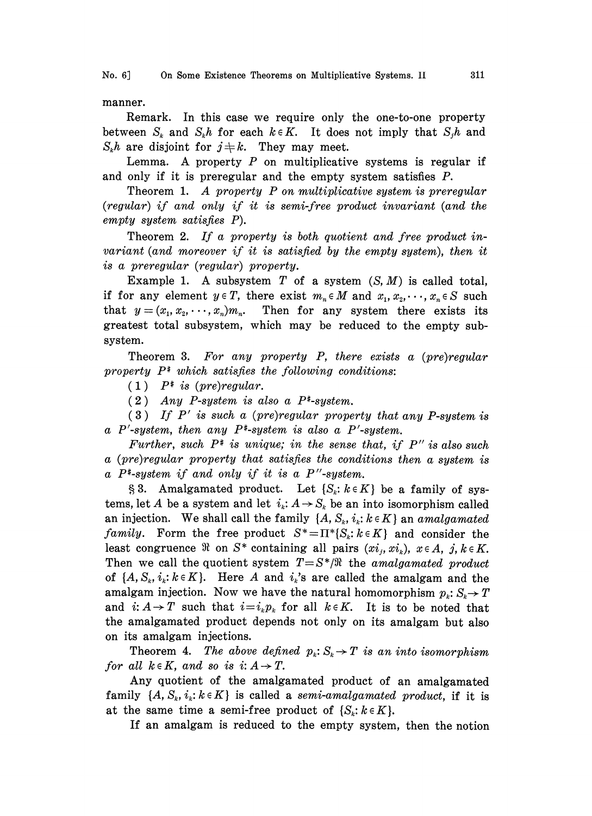manner.

Remark. In this case we require only the one-to-one property between  $S_k$  and  $S_k h$  for each  $k \in K$ . It does not imply that  $S_j h$  and  $S_k h$  are disjoint for  $j \neq k$ . They may meet.

Lemma. A property  $P$  on multiplicative systems is regular if and only if it is preregular and the empty system satisfies P.

Theorem 1. A property P on multiplicative system is preregular (regular) if and only if it is semi-free product invariant (and the empty system satisfies P).

Theorem 2. If a property is both quotient and free product invariant (and moreover if it is satisfied by the empty system), then it is a preregular (regular) property.

Example 1. A subsystem  $T$  of a system  $(S, M)$  is called total, if for any element  $y \in T$ , there exist  $m_n \in M$  and  $x_1, x_2, \dots, x_n \in S$  such that  $y = (x_1, x_2, \dots, x_n)m_n$ . Then for any system there exists its greatest total subsystem, which may be reduced to the empty subsystem.

Theorem 3. For any property P, there exists a (pre)regular property  $P^*$  which satisfies the following conditions:

 $(1)$  P<sup>#</sup> is (pre)regular.

 $(2)$  Any P-system is also a P<sup>\*</sup>-system.

 $(3)$  If P' is such a (pre)regular property that any P-system is a P'-system, then any  $P^*$ -system is also a P'-system.

Further, such  $P^*$  is unique; in the sense that, if  $P''$  is also such a (pre)regular property that satisfies the conditions then a system is a  $P^*$ -system if and only if it is a  $P''$ -system.

§ 3. Amalgamated product. Let  $\{S_k: k \in K\}$  be a family of systems, let A be a system and let  $i_k$ :  $A \rightarrow S_k$  be an into isomorphism called an injection. We shall call the family  $\{A, S_k, i_k: k \in K\}$  an amalgamated family. Form the free product  $S^* = \Pi^* \{S_k : k \in K\}$  and consider the least congruence  $\Re$  on  $S^*$  containing all pairs  $(x_i, xi_k)$ ,  $x \in A$ ,  $j, k \in K$ . Then we call the quotient system  $T=S^*/\Re$  the amalgamated product of  $\{A, S_k, i_k: k \in K\}$ . Here A and  $i_k$ 's are called the amalgam and the amalgam injection. Now we have the natural homomorphism  $p_k: S_k \to T$ and  $i: A \rightarrow T$  such that  $i=i_k p_k$  for all  $k \in K$ . It is to be noted that the amalgamated product depends not only on its amalgam but also on its amalgam injections.

Theorem 4. The above defined  $p_k: S_k \to T$  is an into isomorphism for all  $k \in K$ , and so is i:  $A \rightarrow T$ .

Any quotient of the amalgamated product of an amalgamated family  $\{A, S_k, i_k : k \in K\}$  is called a semi-amalgamated product, if it is at the same time a semi-free product of  $\{S_k: k \in K\}$ .

If an amalgam is reduced to the empty system, then the notion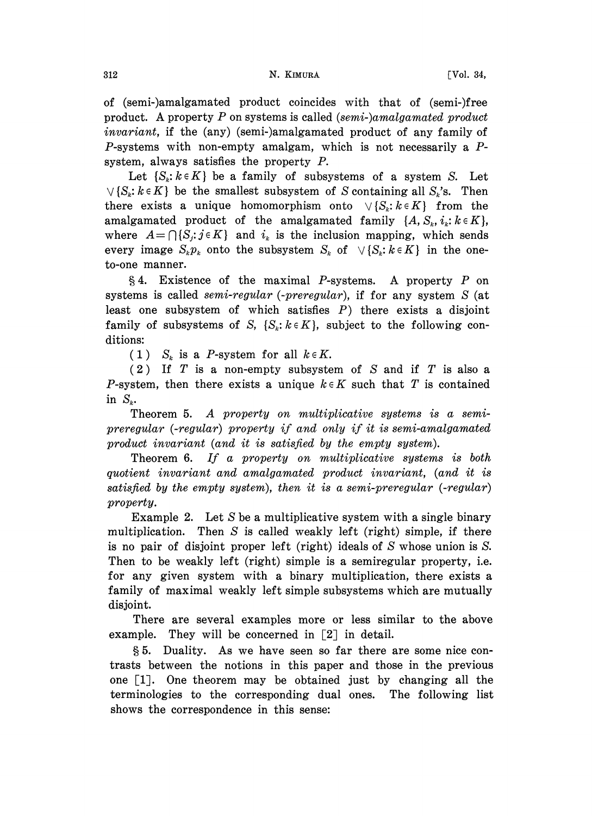of (semi-)amalgamated product coincides with that of (semi-)free product. A property P on systems is called  $(semi-)amalgamated product$ invariant, if the (any) (semi-)amalgamated product of any family of P-systems with non-empty amalgam, which is not necessarily a  $P$ system, always satisfies the property P.

Let  $\{S_k: k \in K\}$  be a family of subsystems of a system S. Let  $\vee \{S_k : k \in K\}$  be the smallest subsystem of S containing all  $S_k$ 's. Then there exists a unique homomorphism onto  $\vee \{S_k : k \in K\}$  from the amalgamated product of the amalgamated family  $\{A, S_k, i_k: k \in K\}$ , where  $A = \bigcap \{S_j : j \in K\}$  and  $i_k$  is the inclusion mapping, which sends every image  $S_k p_k$  onto the subsystem  $S_k$  of  $\forall \{S_k : k \in K\}$  in the oneto-one manner.

 $\S 4.$  Existence of the maximal P-systems. A property P on systems is called *semi-regular* (-*preregular*), if for any system S (at least one subsystem of which satisfies  $P$ ) there exists a disjoint family of subsystems of S,  $\{S_k : k \in K\}$ , subject to the following conditions:

(1)  $S_k$  is a P-system for all  $k \in K$ .

 $(2)$  If T is a non-empty subsystem of S and if T is also a P-system, then there exists a unique  $k \in K$  such that T is contained in  $S_k$ .

Theorem 5. A property on multiplicative systems is a semipreregular (-regular) property if and only if it is semi-amalgamated product invariant (and it is satisfied by the empty system).

Theorem 6. If a property on multiplicative systems is both quotient invariant and amalgamated product invariant, (and it is satisfied by the empty system), then it is a semi-preregular  $(-regular)$ property.

Example 2. Let  $S$  be a multiplicative system with a single binary multiplication. Then S is called weakly left (right) simple, if there is no pair of disjoint proper left (right) ideals of S whose union is S. Then to be weakly left (right) simple is a semiregular property, i.e. for any given system with a binary multiplication, there exists a family of maximal weakly left simple subsystems which are mutually disjoint.

There are several examples more or less similar to the above example. They will be concerned in  $\lceil 2 \rceil$  in detail.

5. Duality. As we have seen so far there are some nice contrasts between the notions in this paper and those in the previous one  $[1]$ . One theorem may be obtained just by changing all the terminologies to the corresponding dual ones. The following list shows the correspondence in this sense: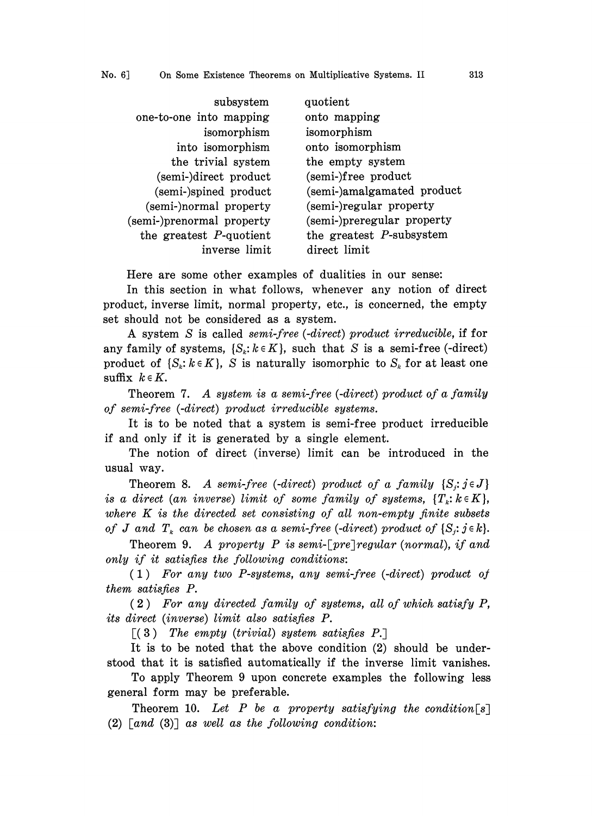| subsystem                  | quotient                    |
|----------------------------|-----------------------------|
| one-to-one into mapping    | onto mapping                |
| isomorphism                | isomorphism                 |
| into isomorphism           | onto isomorphism            |
| the trivial system         | the empty system            |
| (semi-)direct product      | (semi-)free product         |
| (semi-)spined product      | (semi-)amalgamated product  |
| (semi-)normal property     | (semi-)regular property     |
| (semi-)prenormal property  | (semi-)preregular property  |
| the greatest $P$ -quotient | the greatest $P$ -subsystem |
| inverse limit              | direct limit                |

Here are some other examples of dualities in our sense:

In this section in what follows, whenever any notion of direct product, inverse limit, normal property, etc., is concerned, the empty set should not be considered as a system.

A system S is called semi-free (-direct) product irreducible, if for any family of systems,  $\{S_k: k \in K\}$ , such that S is a semi-free (-direct) product of  $\{S_k : k \in K\}$ , S is naturally isomorphic to  $S_k$  for at least one suffix  $k \in K$ .

Theorem 7. A system is a semi-free (-direct) product of a family of semi-free (-direct) product irreducible systems.

It is to be noted that a system is semi-free product irreducible if and only if it is generated by a single element.

The notion of direct (inverse) limit can be introduced in the usual vay.

Theorem 8. A semi-free (-direct) product of a family  $\{S_i : j \in J\}$ is a direct (an inverse) limit of some family of systems,  $\{T_k: k \in K\}$ , where  $K$  is the directed set consisting of all non-empty finite subsets of J and  $T_k$  can be chosen as a semi-free (-direct) product of  $\{S_j : j \in k\}.$ 

Theorem 9. A property P is semi-[pre] regular (normal), if and only if it satisfies the following conditions:

 $(1)$  For any two P-systems, any semi-free (-direct) product of them satisfies P.

2 ) For any directed family of systems, all of which satisfy P, its direct (inverse) limit also satisfies P.

 $\lceil (3) \rceil$  The empty (trivial) system satisfies P.

It is to be noted that the above condition (2) should be understood that it is satisfied automatically if the inverse limit vanishes.

To apply Theorem 9 upon concrete examples the following less general form may be preferable.

Theorem 10. Let P be a property satisfying the condition  $\lceil s \rceil$  $(2)$  [and  $(3)$ ] as well as the following condition: